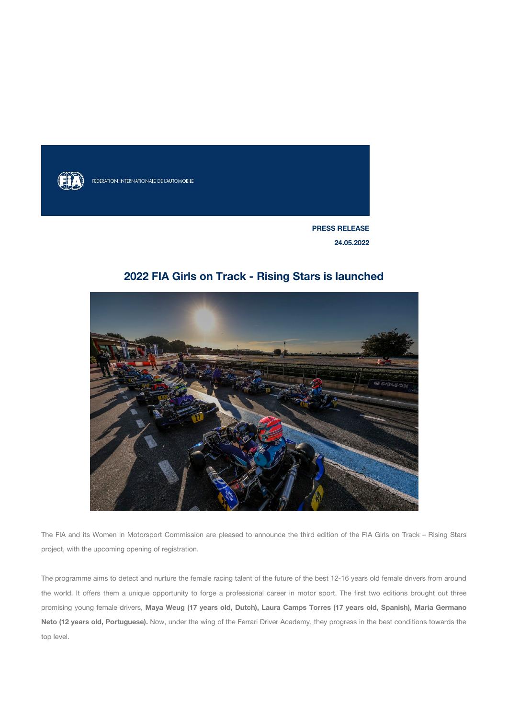

FEDERATION INTERNATIONALE DE L'AUTOMOBILE

**PRESS RELEASE 24.05.2022**

## **2022 FIA Girls on Track - Rising Stars is launched**



The FIA and its Women in Motorsport Commission are pleased to announce the third edition of the FIA Girls on Track – Rising Stars project, with the upcoming opening of registration.

The programme aims to detect and nurture the female racing talent of the future of the best 12-16 years old female drivers from around the world. It offers them a unique opportunity to forge a professional career in motor sport. The first two editions brought out three promising young female drivers, **Maya Weug (17 years old, Dutch), Laura Camps Torres (17 years old, Spanish), Maria Germano Neto (12 years old, Portuguese).** Now, under the wing of the Ferrari Driver Academy, they progress in the best conditions towards the top level.